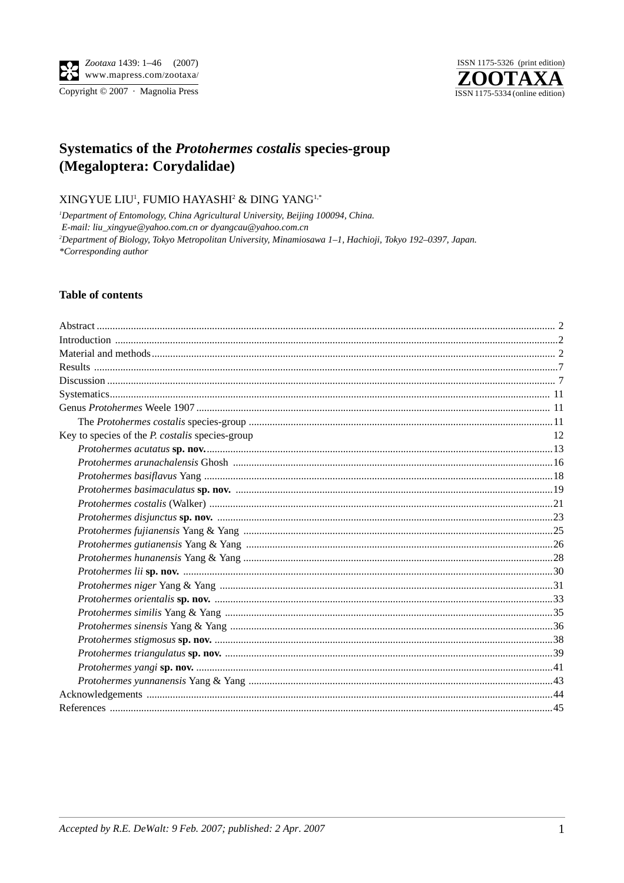

# Systematics of the Protohermes costalis species-group (Megaloptera: Corydalidae)

XINGYUE LIU<sup>1</sup>, FUMIO HAYASHI<sup>2</sup> & DING YANG<sup>1,\*</sup>

<sup>1</sup>Department of Entomology, China Agricultural University, Beijing 100094, China. E-mail: liu\_xingyue@yahoo.com.cn or dyangcau@yahoo.com.cn <sup>2</sup>Department of Biology, Tokyo Metropolitan University, Minamiosawa 1-1, Hachioji, Tokyo 192-0397, Japan. \*Corresponding author

## **Table of contents**

| Key to species of the <i>P. costalis</i> species-group | 12 |
|--------------------------------------------------------|----|
|                                                        |    |
|                                                        |    |
|                                                        |    |
|                                                        |    |
|                                                        |    |
|                                                        |    |
|                                                        |    |
|                                                        |    |
|                                                        |    |
|                                                        |    |
|                                                        |    |
|                                                        |    |
|                                                        |    |
|                                                        |    |
|                                                        |    |
|                                                        |    |
|                                                        |    |
|                                                        |    |
|                                                        |    |
|                                                        |    |